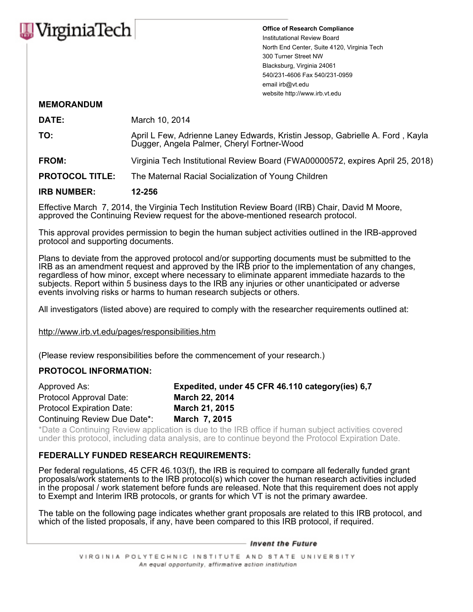

**Office of Research Compliance** Institutational Review Board North End Center, Suite 4120, Virginia Tech 300 Turner Street NW Blacksburg, Virginia 24061 540/231-4606 Fax 540/231-0959 email irb@vt.edu website http://www.irb.vt.edu

## **MEMORANDUM**

| <b>IRB NUMBER:</b>     | 12-256                                                                                                                      |  |
|------------------------|-----------------------------------------------------------------------------------------------------------------------------|--|
| <b>PROTOCOL TITLE:</b> | The Maternal Racial Socialization of Young Children                                                                         |  |
| <b>FROM:</b>           | Virginia Tech Institutional Review Board (FWA00000572, expires April 25, 2018)                                              |  |
| TO:                    | April L Few, Adrienne Laney Edwards, Kristin Jessop, Gabrielle A. Ford, Kayla<br>Dugger, Angela Palmer, Cheryl Fortner-Wood |  |
| <b>DATE:</b>           | March 10, 2014                                                                                                              |  |

Effective March 7, 2014, the Virginia Tech Institution Review Board (IRB) Chair, David M Moore, approved the Continuing Review request for the above-mentioned research protocol.

This approval provides permission to begin the human subject activities outlined in the IRB-approved protocol and supporting documents.

Plans to deviate from the approved protocol and/or supporting documents must be submitted to the IRB as an amendment request and approved by the IRB prior to the implementation of any changes, regardless of how minor, except where necessary to eliminate apparent immediate hazards to the subjects. Report within 5 business days to the IRB any injuries or other unanticipated or adverse events involving risks or harms to human research subjects or others.

All investigators (listed above) are required to comply with the researcher requirements outlined at:

http://www.irb.vt.edu/pages/responsibilities.htm

(Please review responsibilities before the commencement of your research.)

## **PROTOCOL INFORMATION:**

| Approved As:                     | Expedited, under 45 CFR 46.110 category (ies) 6,7 |
|----------------------------------|---------------------------------------------------|
| Protocol Approval Date:          | <b>March 22, 2014</b>                             |
| <b>Protocol Expiration Date:</b> | March 21, 2015                                    |
| Continuing Review Due Date*:     | March 7, 2015                                     |

\*Date a Continuing Review application is due to the IRB office if human subject activities covered under this protocol, including data analysis, are to continue beyond the Protocol Expiration Date.

## **FEDERALLY FUNDED RESEARCH REQUIREMENTS:**

Per federal regulations, 45 CFR 46.103(f), the IRB is required to compare all federally funded grant proposals/work statements to the IRB protocol(s) which cover the human research activities included in the proposal / work statement before funds are released. Note that this requirement does not apply to Exempt and Interim IRB protocols, or grants for which VT is not the primary awardee.

The table on the following page indicates whether grant proposals are related to this IRB protocol, and which of the listed proposals, if any, have been compared to this IRB protocol, if required.

## – Invent the Future